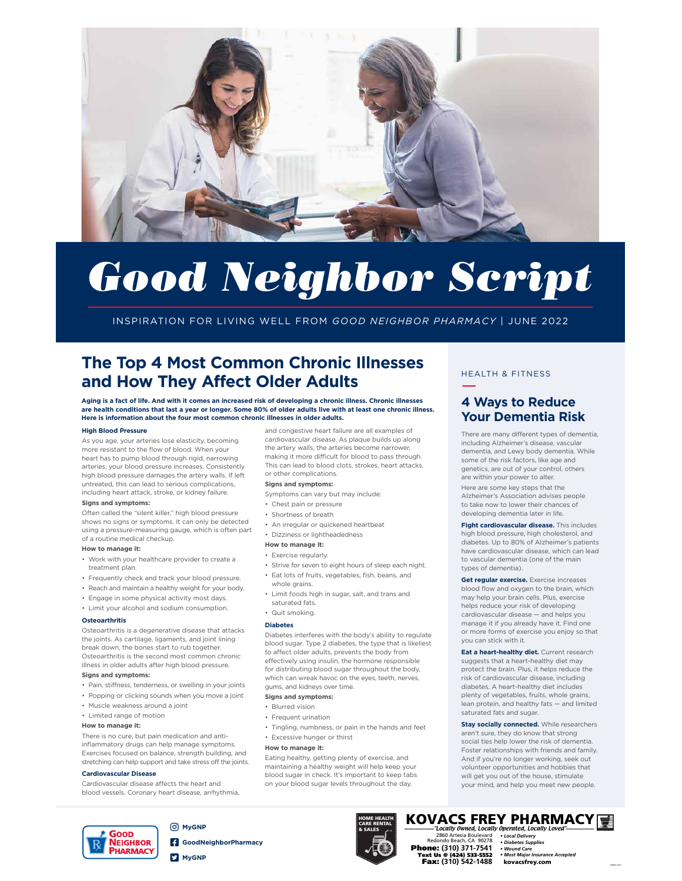

# *Good Neighbor Script*

INSPIRATION FOR LIVING WELL FROM *GOOD NEIGHBOR PHARMACY* | JUNE 2022

# **The Top 4 Most Common Chronic Illnesses and How They Affect Older Adults**

**Aging is a fact of life. And with it comes an increased risk of developing a chronic illness. Chronic illnesses are health conditions that last a year or longer. Some 80% of older adults live with at least one chronic illness. Here is information about the four most common chronic illnesses in older adults.**

#### **High Blood Pressure**

As you age, your arteries lose elasticity, becoming more resistant to the flow of blood. When your heart has to pump blood through rigid, narrowing arteries, your blood pressure increases. Consistently high blood pressure damages the artery walls. If left untreated, this can lead to serious complications, including heart attack, stroke, or kidney failure.

#### **Signs and symptoms:**

Often called the "silent killer," high blood pressure shows no signs or symptoms. It can only be detected using a pressure-measuring gauge, which is often part of a routine medical checkup.

#### **How to manage it:**

- Work with your healthcare provider to create a treatment plan.
- Frequently check and track your blood pressure.
- Reach and maintain a healthy weight for your body.
- Engage in some physical activity most days.
- Limit your alcohol and sodium consumption.

## **Osteoarthritis**

Osteoarthritis is a degenerative disease that attacks the joints. As cartilage, ligaments, and joint lining break down, the bones start to rub together. Osteoarthritis is the second most common chronic illness in older adults after high blood pressure.

## **Signs and symptoms:**

- Pain, stiffness, tenderness, or swelling in your joints
- Popping or clicking sounds when you move a joint
- Muscle weakness around a joint
- Limited range of motion

# **How to manage it:**

There is no cure, but pain medication and antiinflammatory drugs can help manage symptoms. Exercises focused on balance, strength building, and stretching can help support and take stress off the joints.

### **Cardiovascular Disease**

Cardiovascular disease affects the heart and blood vessels. Coronary heart disease, arrhythmia,

and congestive heart failure are all examples of cardiovascular disease. As plaque builds up along the artery walls, the arteries become narrower, making it more difficult for blood to pass through. This can lead to blood clots, strokes, heart attacks, or other complications.

### **Signs and symptoms:**

- Symptoms can vary but may include:
- Chest pain or pressure
- Shortness of breath
- An irregular or quickened heartbeat
- Dizziness or lightheadedness

#### **How to manage it:**

- Exercise regularly.
- Strive for seven to eight hours of sleep each night.
- Eat lots of fruits, vegetables, fish, beans, and
- whole grains.
- Limit foods high in sugar, salt, and trans and saturated fats.
- Quit smoking.

#### **Diabetes**

Diabetes interferes with the body's ability to regulate blood sugar. Type 2 diabetes, the type that is likeliest to affect older adults, prevents the body from effectively using insulin, the hormone responsible for distributing blood sugar throughout the body, which can wreak havoc on the eyes, teeth, nerves, gums, and kidneys over time.

## **Signs and symptoms:**

- Blurred vision
- Frequent urination
- Tingling, numbness, or pain in the hands and feet
- Excessive hunger or thirst

#### **How to manage it:**

Eating healthy, getting plenty of exercise, and maintaining a healthy weight will help keep your blood sugar in check. It's important to keep tabs on your blood sugar levels throughout the day.

> HOME HEALTH CARE RENTAL & SALES

# HEALTH & FITNESS —

# **4 Ways to Reduce Your Dementia Risk**

There are many different types of dementia, including Alzheimer's disease, vascular dementia, and Lewy body dementia. While some of the risk factors, like age and genetics, are out of your control, others are within your power to alter. Here are some key steps that the Alzheimer's Association advises people to take now to lower their chances of developing dementia later in life.

**Fight cardiovascular disease.** This includes high blood pressure, high cholesterol, and diabetes. Up to 80% of Alzheimer's patients have cardiovascular disease, which can lead to vascular dementia (one of the main types of dementia).

**Get regular exercise.** Exercise increases blood flow and oxygen to the brain, which may help your brain cells. Plus, exercise helps reduce your risk of developing cardiovascular disease — and helps you manage it if you already have it. Find one or more forms of exercise you enjoy so that you can stick with it.

**Eat a heart-healthy diet.** Current research suggests that a heart-healthy diet may protect the brain. Plus, it helps reduce the risk of cardiovascular disease, including diabetes. A heart-healthy diet includes plenty of vegetables, fruits, whole grains, lean protein, and healthy fats — and limited saturated fats and sugar.

**Stay socially connected.** While researchers aren't sure, they do know that strong social ties help lower the risk of dementia. Foster relationships with friends and family. And if you're no longer working, seek out volunteer opportunities and hobbies that will get you out of the house, stimulate your mind, and help you meet new people.



**GoodNeighborPharmacy MyGNP** 

**MyGNP**



*• Wound Care • Most Major Insurance Accepted* kovacsfrey.com